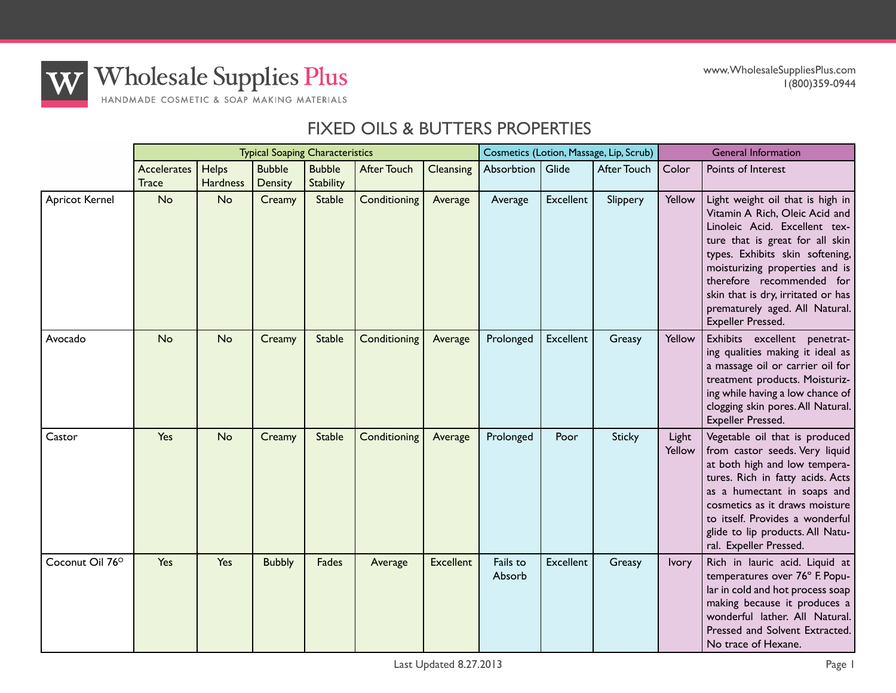

**Wholesale Supplies Plus** HANDMADE COSMETIC & SOAP MAKING MATERIALS

## FIXED OILS & BUTTERS PROPERTIES

|                       |                             |                          | <b>Typical Soaping Characteristics</b> |                            |                    |                  | Cosmetics (Lotion, Massage, Lip, Scrub) |                  |               | <b>General Information</b> |                                                                                                                                                                                                                                                                                                                                       |  |
|-----------------------|-----------------------------|--------------------------|----------------------------------------|----------------------------|--------------------|------------------|-----------------------------------------|------------------|---------------|----------------------------|---------------------------------------------------------------------------------------------------------------------------------------------------------------------------------------------------------------------------------------------------------------------------------------------------------------------------------------|--|
|                       | Accelerates<br><b>Trace</b> | Helps<br><b>Hardness</b> | <b>Bubble</b><br>Density               | <b>Bubble</b><br>Stability | <b>After Touch</b> | <b>Cleansing</b> | Absorbtion                              | Glide            | After Touch   | Color                      | Points of Interest                                                                                                                                                                                                                                                                                                                    |  |
| <b>Apricot Kernel</b> | No                          | No                       | Creamy                                 | <b>Stable</b>              | Conditioning       | Average          | Average                                 | <b>Excellent</b> | Slippery      | Yellow                     | Light weight oil that is high in<br>Vitamin A Rich, Oleic Acid and<br>Linoleic Acid. Excellent tex-<br>ture that is great for all skin<br>types. Exhibits skin softening,<br>moisturizing properties and is<br>therefore recommended for<br>skin that is dry, irritated or has<br>prematurely aged. All Natural.<br>Expeller Pressed. |  |
| Avocado               | No                          | <b>No</b>                | Creamy                                 | <b>Stable</b>              | Conditioning       | Average          | Prolonged                               | <b>Excellent</b> | Greasy        | Yellow                     | Exhibits excellent penetrat-<br>ing qualities making it ideal as<br>a massage oil or carrier oil for<br>treatment products. Moisturiz-<br>ing while having a low chance of<br>clogging skin pores. All Natural.<br>Expeller Pressed.                                                                                                  |  |
| Castor                | Yes                         | <b>No</b>                | Creamy                                 | <b>Stable</b>              | Conditioning       | Average          | Prolonged                               | Poor             | <b>Sticky</b> | Light<br>Yellow            | Vegetable oil that is produced<br>from castor seeds. Very liquid<br>at both high and low tempera-<br>tures. Rich in fatty acids. Acts<br>as a humectant in soaps and<br>cosmetics as it draws moisture<br>to itself. Provides a wonderful<br>glide to lip products. All Natu-<br>ral. Expeller Pressed.                               |  |
| Coconut Oil 76°       | Yes                         | Yes                      | <b>Bubbly</b>                          | <b>Fades</b>               | Average            | <b>Excellent</b> | Fails to<br>Absorb                      | <b>Excellent</b> | Greasy        | Ivory                      | Rich in lauric acid. Liquid at<br>temperatures over 76° F. Popu-<br>lar in cold and hot process soap<br>making because it produces a<br>wonderful lather. All Natural.<br>Pressed and Solvent Extracted.<br>No trace of Hexane.                                                                                                       |  |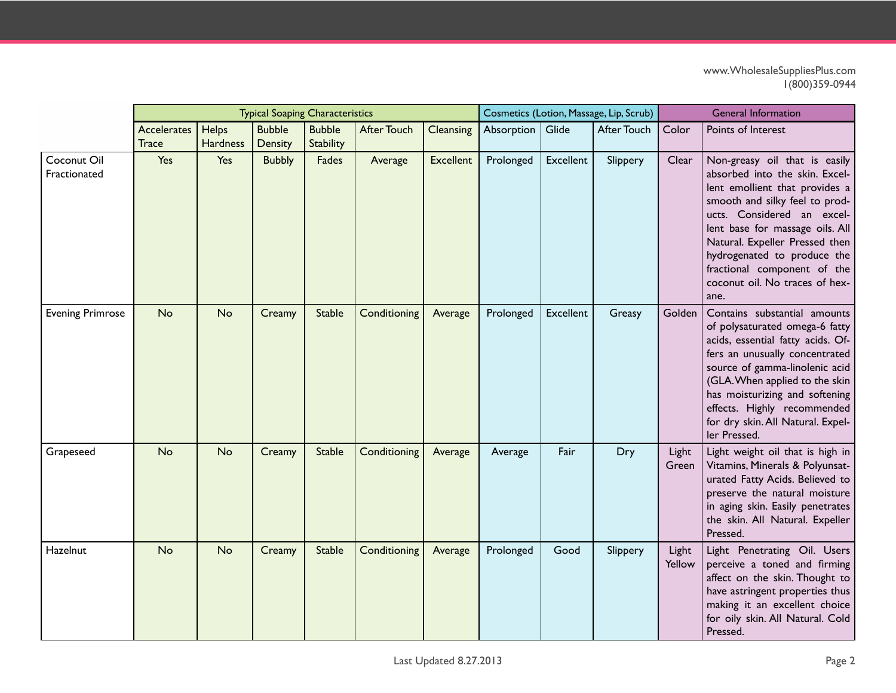|                             |                                    |                          | <b>Typical Soaping Characteristics</b> |                            |                    |                  | Cosmetics (Lotion, Massage, Lip, Scrub) |           |             | <b>General Information</b> |                                                                                                                                                                                                                                                                                                                                                |  |
|-----------------------------|------------------------------------|--------------------------|----------------------------------------|----------------------------|--------------------|------------------|-----------------------------------------|-----------|-------------|----------------------------|------------------------------------------------------------------------------------------------------------------------------------------------------------------------------------------------------------------------------------------------------------------------------------------------------------------------------------------------|--|
|                             | <b>Accelerates</b><br><b>Trace</b> | Helps<br><b>Hardness</b> | <b>Bubble</b><br><b>Density</b>        | <b>Bubble</b><br>Stability | <b>After Touch</b> | Cleansing        | Absorption                              | Glide     | After Touch | Color                      | Points of Interest                                                                                                                                                                                                                                                                                                                             |  |
| Coconut Oil<br>Fractionated | Yes                                | Yes                      | <b>Bubbly</b>                          | Fades                      | Average            | <b>Excellent</b> | Prolonged                               | Excellent | Slippery    | Clear                      | Non-greasy oil that is easily<br>absorbed into the skin. Excel-<br>lent emollient that provides a<br>smooth and silky feel to prod-<br>ucts. Considered an excel-<br>lent base for massage oils. All<br>Natural. Expeller Pressed then<br>hydrogenated to produce the<br>fractional component of the<br>coconut oil. No traces of hex-<br>ane. |  |
| <b>Evening Primrose</b>     | <b>No</b>                          | <b>No</b>                | Creamy                                 | <b>Stable</b>              | Conditioning       | Average          | Prolonged                               | Excellent | Greasy      | Golden                     | Contains substantial amounts<br>of polysaturated omega-6 fatty<br>acids, essential fatty acids. Of-<br>fers an unusually concentrated<br>source of gamma-linolenic acid<br>(GLA. When applied to the skin<br>has moisturizing and softening<br>effects. Highly recommended<br>for dry skin. All Natural. Expel-<br>ler Pressed.                |  |
| Grapeseed                   | No                                 | <b>No</b>                | Creamy                                 | <b>Stable</b>              | Conditioning       | Average          | Average                                 | Fair      | Dry         | Light<br>Green             | Light weight oil that is high in<br>Vitamins, Minerals & Polyunsat-<br>urated Fatty Acids. Believed to<br>preserve the natural moisture<br>in aging skin. Easily penetrates<br>the skin. All Natural. Expeller<br>Pressed.                                                                                                                     |  |
| Hazelnut                    | <b>No</b>                          | <b>No</b>                | Creamy                                 | <b>Stable</b>              | Conditioning       | Average          | Prolonged                               | Good      | Slippery    | Light<br>Yellow            | Light Penetrating Oil. Users<br>perceive a toned and firming<br>affect on the skin. Thought to<br>have astringent properties thus<br>making it an excellent choice<br>for oily skin. All Natural. Cold<br>Pressed.                                                                                                                             |  |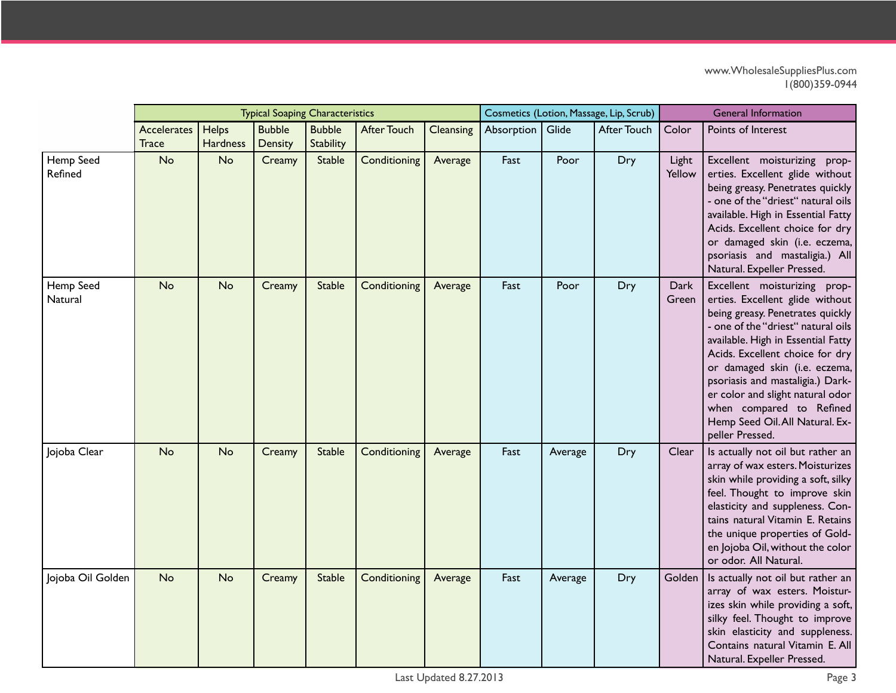|                      |                                    |                          | <b>Typical Soaping Characteristics</b> |                            |                    |           | Cosmetics (Lotion, Massage, Lip, Scrub) |         |             | <b>General Information</b> |                                                                                                                                                                                                                                                                                                                                                                                                               |  |
|----------------------|------------------------------------|--------------------------|----------------------------------------|----------------------------|--------------------|-----------|-----------------------------------------|---------|-------------|----------------------------|---------------------------------------------------------------------------------------------------------------------------------------------------------------------------------------------------------------------------------------------------------------------------------------------------------------------------------------------------------------------------------------------------------------|--|
|                      | <b>Accelerates</b><br><b>Trace</b> | Helps<br><b>Hardness</b> | <b>Bubble</b><br>Density               | <b>Bubble</b><br>Stability | <b>After Touch</b> | Cleansing | Absorption                              | Glide   | After Touch | Color                      | Points of Interest                                                                                                                                                                                                                                                                                                                                                                                            |  |
| Hemp Seed<br>Refined | No                                 | <b>No</b>                | Creamy                                 | <b>Stable</b>              | Conditioning       | Average   | Fast                                    | Poor    | Dry         | Light<br>Yellow            | Excellent moisturizing prop-<br>erties. Excellent glide without<br>being greasy. Penetrates quickly<br>- one of the "driest" natural oils<br>available. High in Essential Fatty<br>Acids. Excellent choice for dry<br>or damaged skin (i.e. eczema,<br>psoriasis and mastaligia.) All<br>Natural. Expeller Pressed.                                                                                           |  |
| Hemp Seed<br>Natural | <b>No</b>                          | <b>No</b>                | Creamy                                 | <b>Stable</b>              | Conditioning       | Average   | Fast                                    | Poor    | Dry         | Dark<br>Green              | Excellent moisturizing prop-<br>erties. Excellent glide without<br>being greasy. Penetrates quickly<br>- one of the "driest" natural oils<br>available. High in Essential Fatty<br>Acids. Excellent choice for dry<br>or damaged skin (i.e. eczema,<br>psoriasis and mastaligia.) Dark-<br>er color and slight natural odor<br>when compared to Refined<br>Hemp Seed Oil. All Natural. Ex-<br>peller Pressed. |  |
| Jojoba Clear         | <b>No</b>                          | <b>No</b>                | Creamy                                 | <b>Stable</b>              | Conditioning       | Average   | Fast                                    | Average | Dry         | Clear                      | Is actually not oil but rather an<br>array of wax esters. Moisturizes<br>skin while providing a soft, silky<br>feel. Thought to improve skin<br>elasticity and suppleness. Con-<br>tains natural Vitamin E. Retains<br>the unique properties of Gold-<br>en Jojoba Oil, without the color<br>or odor. All Natural.                                                                                            |  |
| Jojoba Oil Golden    | No                                 | <b>No</b>                | Creamy                                 | <b>Stable</b>              | Conditioning       | Average   | Fast                                    | Average | <b>Dry</b>  | Golden                     | Is actually not oil but rather an<br>array of wax esters. Moistur-<br>izes skin while providing a soft,<br>silky feel. Thought to improve<br>skin elasticity and suppleness.<br>Contains natural Vitamin E. All<br>Natural. Expeller Pressed.                                                                                                                                                                 |  |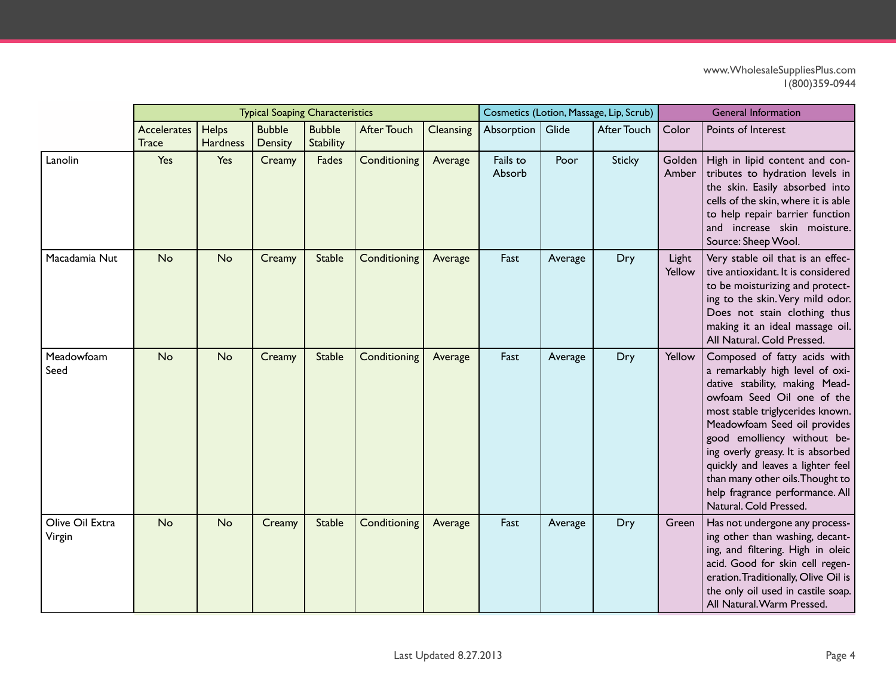|                           |                                    |                          | <b>Typical Soaping Characteristics</b> |                                   |                    |           | Cosmetics (Lotion, Massage, Lip, Scrub) |         |                    | <b>General Information</b> |                                                                                                                                                                                                                                                                                                                                                                                                               |  |
|---------------------------|------------------------------------|--------------------------|----------------------------------------|-----------------------------------|--------------------|-----------|-----------------------------------------|---------|--------------------|----------------------------|---------------------------------------------------------------------------------------------------------------------------------------------------------------------------------------------------------------------------------------------------------------------------------------------------------------------------------------------------------------------------------------------------------------|--|
|                           | <b>Accelerates</b><br><b>Trace</b> | Helps<br><b>Hardness</b> | <b>Bubble</b><br>Density               | <b>Bubble</b><br><b>Stability</b> | <b>After Touch</b> | Cleansing | Absorption                              | Glide   | <b>After Touch</b> | Color                      | Points of Interest                                                                                                                                                                                                                                                                                                                                                                                            |  |
| Lanolin                   | Yes                                | Yes                      | Creamy                                 | Fades                             | Conditioning       | Average   | Fails to<br>Absorb                      | Poor    | <b>Sticky</b>      | Golden  <br>Amber          | High in lipid content and con-<br>tributes to hydration levels in<br>the skin. Easily absorbed into<br>cells of the skin, where it is able<br>to help repair barrier function<br>and increase skin moisture.<br>Source: Sheep Wool.                                                                                                                                                                           |  |
| Macadamia Nut             | <b>No</b>                          | <b>No</b>                | Creamy                                 | <b>Stable</b>                     | Conditioning       | Average   | Fast                                    | Average | Dry                | Light<br>Yellow            | Very stable oil that is an effec-<br>tive antioxidant. It is considered<br>to be moisturizing and protect-<br>ing to the skin. Very mild odor.<br>Does not stain clothing thus<br>making it an ideal massage oil.<br>All Natural. Cold Pressed.                                                                                                                                                               |  |
| Meadowfoam<br>Seed        | <b>No</b>                          | <b>No</b>                | Creamy                                 | <b>Stable</b>                     | Conditioning       | Average   | Fast                                    | Average | Dry                | Yellow                     | Composed of fatty acids with<br>a remarkably high level of oxi-<br>dative stability, making Mead-<br>owfoam Seed Oil one of the<br>most stable triglycerides known.<br>Meadowfoam Seed oil provides<br>good emolliency without be-<br>ing overly greasy. It is absorbed<br>quickly and leaves a lighter feel<br>than many other oils. Thought to<br>help fragrance performance. All<br>Natural. Cold Pressed. |  |
| Olive Oil Extra<br>Virgin | <b>No</b>                          | No                       | Creamy                                 | <b>Stable</b>                     | Conditioning       | Average   | Fast                                    | Average | Dry                | Green                      | Has not undergone any process-<br>ing other than washing, decant-<br>ing, and filtering. High in oleic<br>acid. Good for skin cell regen-<br>eration. Traditionally, Olive Oil is<br>the only oil used in castile soap.<br>All Natural. Warm Pressed.                                                                                                                                                         |  |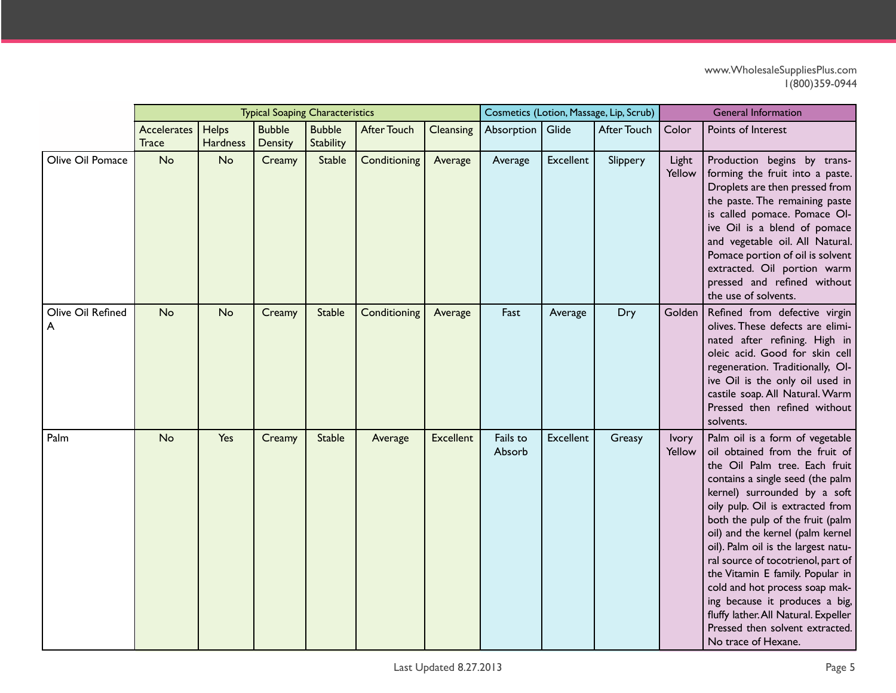|                        |                                    |                   | <b>Typical Soaping Characteristics</b> |                            |                    |                  |                    |                  | Cosmetics (Lotion, Massage, Lip, Scrub) | <b>General Information</b> |                                                                                                                                                                                                                                                                                                                                                                                                                                                                                                                                                                           |  |
|------------------------|------------------------------------|-------------------|----------------------------------------|----------------------------|--------------------|------------------|--------------------|------------------|-----------------------------------------|----------------------------|---------------------------------------------------------------------------------------------------------------------------------------------------------------------------------------------------------------------------------------------------------------------------------------------------------------------------------------------------------------------------------------------------------------------------------------------------------------------------------------------------------------------------------------------------------------------------|--|
|                        | <b>Accelerates</b><br><b>Trace</b> | Helps<br>Hardness | <b>Bubble</b><br>Density               | <b>Bubble</b><br>Stability | <b>After Touch</b> | Cleansing        | Absorption         | Glide            | <b>After Touch</b>                      | Color                      | Points of Interest                                                                                                                                                                                                                                                                                                                                                                                                                                                                                                                                                        |  |
| Olive Oil Pomace       | No                                 | <b>No</b>         | Creamy                                 | <b>Stable</b>              | Conditioning       | Average          | Average            | <b>Excellent</b> | Slippery                                | Light<br>Yellow            | Production begins by trans-<br>forming the fruit into a paste.<br>Droplets are then pressed from<br>the paste. The remaining paste<br>is called pomace. Pomace OI-<br>ive Oil is a blend of pomace<br>and vegetable oil. All Natural.<br>Pomace portion of oil is solvent<br>extracted. Oil portion warm<br>pressed and refined without<br>the use of solvents.                                                                                                                                                                                                           |  |
| Olive Oil Refined<br>A | <b>No</b>                          | <b>No</b>         | Creamy                                 | Stable                     | Conditioning       | Average          | Fast               | Average          | Dry                                     |                            | Golden   Refined from defective virgin<br>olives. These defects are elimi-<br>nated after refining. High in<br>oleic acid. Good for skin cell<br>regeneration. Traditionally, OI-<br>ive Oil is the only oil used in<br>castile soap. All Natural. Warm<br>Pressed then refined without<br>solvents.                                                                                                                                                                                                                                                                      |  |
| Palm                   | <b>No</b>                          | Yes               | Creamy                                 | <b>Stable</b>              | Average            | <b>Excellent</b> | Fails to<br>Absorb | Excellent        | Greasy                                  | <b>lvory</b><br>Yellow     | Palm oil is a form of vegetable<br>oil obtained from the fruit of<br>the Oil Palm tree. Each fruit<br>contains a single seed (the palm<br>kernel) surrounded by a soft<br>oily pulp. Oil is extracted from<br>both the pulp of the fruit (palm<br>oil) and the kernel (palm kernel<br>oil). Palm oil is the largest natu-<br>ral source of tocotrienol, part of<br>the Vitamin E family. Popular in<br>cold and hot process soap mak-<br>ing because it produces a big,<br>fluffy lather. All Natural. Expeller<br>Pressed then solvent extracted.<br>No trace of Hexane. |  |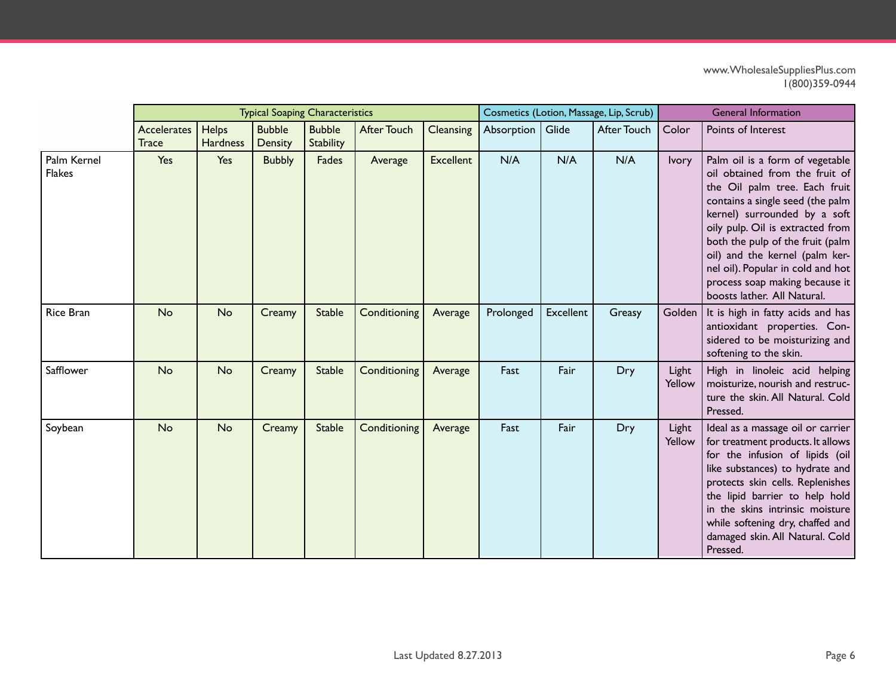|                              |                                    |                          | <b>Typical Soaping Characteristics</b> |                            |                    |                  | Cosmetics (Lotion, Massage, Lip, Scrub) |           |             | <b>General Information</b> |                                                                                                                                                                                                                                                                                                                                                                                        |  |
|------------------------------|------------------------------------|--------------------------|----------------------------------------|----------------------------|--------------------|------------------|-----------------------------------------|-----------|-------------|----------------------------|----------------------------------------------------------------------------------------------------------------------------------------------------------------------------------------------------------------------------------------------------------------------------------------------------------------------------------------------------------------------------------------|--|
|                              | <b>Accelerates</b><br><b>Trace</b> | Helps<br><b>Hardness</b> | <b>Bubble</b><br>Density               | <b>Bubble</b><br>Stability | <b>After Touch</b> | Cleansing        | Absorption   Glide                      |           | After Touch | Color                      | Points of Interest                                                                                                                                                                                                                                                                                                                                                                     |  |
| Palm Kernel<br><b>Flakes</b> | Yes                                | Yes                      | <b>Bubbly</b>                          | Fades                      | Average            | <b>Excellent</b> | N/A                                     | N/A       | N/A         | Ivory                      | Palm oil is a form of vegetable<br>oil obtained from the fruit of<br>the Oil palm tree. Each fruit<br>contains a single seed (the palm<br>kernel) surrounded by a soft<br>oily pulp. Oil is extracted from<br>both the pulp of the fruit (palm<br>oil) and the kernel (palm ker-<br>nel oil). Popular in cold and hot<br>process soap making because it<br>boosts lather. All Natural. |  |
| <b>Rice Bran</b>             | <b>No</b>                          | No                       | Creamy                                 | <b>Stable</b>              | Conditioning       | Average          | Prolonged                               | Excellent | Greasy      |                            | Golden   It is high in fatty acids and has<br>antioxidant properties. Con-<br>sidered to be moisturizing and<br>softening to the skin.                                                                                                                                                                                                                                                 |  |
| Safflower                    | <b>No</b>                          | <b>No</b>                | Creamy                                 | <b>Stable</b>              | Conditioning       | Average          | Fast                                    | Fair      | Dry         | Light<br>Yellow            | High in linoleic acid helping<br>moisturize, nourish and restruc-<br>ture the skin. All Natural. Cold<br>Pressed.                                                                                                                                                                                                                                                                      |  |
| Soybean                      | <b>No</b>                          | <b>No</b>                | Creamy                                 | <b>Stable</b>              | Conditioning       | Average          | Fast                                    | Fair      | Dry         | Light<br>Yellow            | Ideal as a massage oil or carrier<br>for treatment products. It allows<br>for the infusion of lipids (oil<br>like substances) to hydrate and<br>protects skin cells. Replenishes<br>the lipid barrier to help hold<br>in the skins intrinsic moisture<br>while softening dry, chaffed and<br>damaged skin. All Natural. Cold<br>Pressed.                                               |  |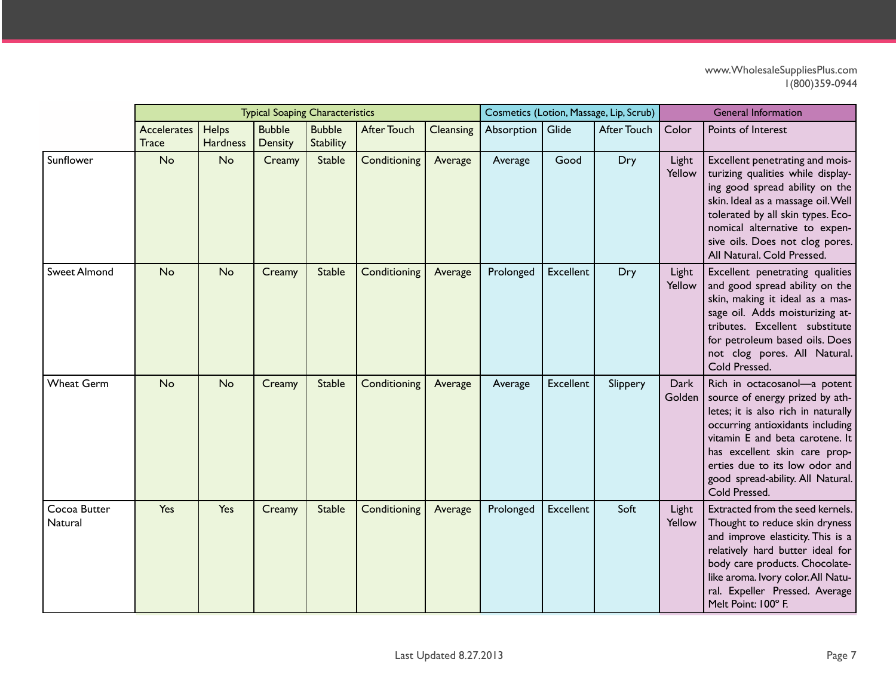|                         |                                    |                                 | <b>Typical Soaping Characteristics</b> |                                   |                    |                  | Cosmetics (Lotion, Massage, Lip, Scrub) |                  |             | <b>General Information</b> |                                                                                                                                                                                                                                                                                                        |  |
|-------------------------|------------------------------------|---------------------------------|----------------------------------------|-----------------------------------|--------------------|------------------|-----------------------------------------|------------------|-------------|----------------------------|--------------------------------------------------------------------------------------------------------------------------------------------------------------------------------------------------------------------------------------------------------------------------------------------------------|--|
|                         | <b>Accelerates</b><br><b>Trace</b> | <b>Helps</b><br><b>Hardness</b> | <b>Bubble</b><br>Density               | <b>Bubble</b><br><b>Stability</b> | <b>After Touch</b> | <b>Cleansing</b> | Absorption                              | Glide            | After Touch | Color                      | Points of Interest                                                                                                                                                                                                                                                                                     |  |
| Sunflower               | No                                 | No                              | Creamy                                 | <b>Stable</b>                     | Conditioning       | Average          | Average                                 | Good             | Dry         | Light<br>Yellow            | Excellent penetrating and mois-<br>turizing qualities while display-<br>ing good spread ability on the<br>skin. Ideal as a massage oil. Well<br>tolerated by all skin types. Eco-<br>nomical alternative to expen-<br>sive oils. Does not clog pores.<br>All Natural. Cold Pressed.                    |  |
| <b>Sweet Almond</b>     | No                                 | <b>No</b>                       | Creamy                                 | <b>Stable</b>                     | Conditioning       | Average          | Prolonged                               | <b>Excellent</b> | Dry         | Light<br>Yellow            | Excellent penetrating qualities<br>and good spread ability on the<br>skin, making it ideal as a mas-<br>sage oil. Adds moisturizing at-<br>tributes. Excellent substitute<br>for petroleum based oils. Does<br>not clog pores. All Natural.<br>Cold Pressed.                                           |  |
| <b>Wheat Germ</b>       | No                                 | <b>No</b>                       | Creamy                                 | <b>Stable</b>                     | Conditioning       | Average          | Average                                 | <b>Excellent</b> | Slippery    | Dark<br>Golden             | Rich in octacosanol-a potent<br>source of energy prized by ath-<br>letes; it is also rich in naturally<br>occurring antioxidants including<br>vitamin E and beta carotene. It<br>has excellent skin care prop-<br>erties due to its low odor and<br>good spread-ability. All Natural.<br>Cold Pressed. |  |
| Cocoa Butter<br>Natural | Yes                                | Yes                             | Creamy                                 | <b>Stable</b>                     | Conditioning       | Average          | Prolonged                               | Excellent        | Soft        | Light<br>Yellow            | Extracted from the seed kernels.<br>Thought to reduce skin dryness<br>and improve elasticity. This is a<br>relatively hard butter ideal for<br>body care products. Chocolate-<br>like aroma. Ivory color. All Natu-<br>ral. Expeller Pressed. Average<br>Melt Point: 100° F.                           |  |